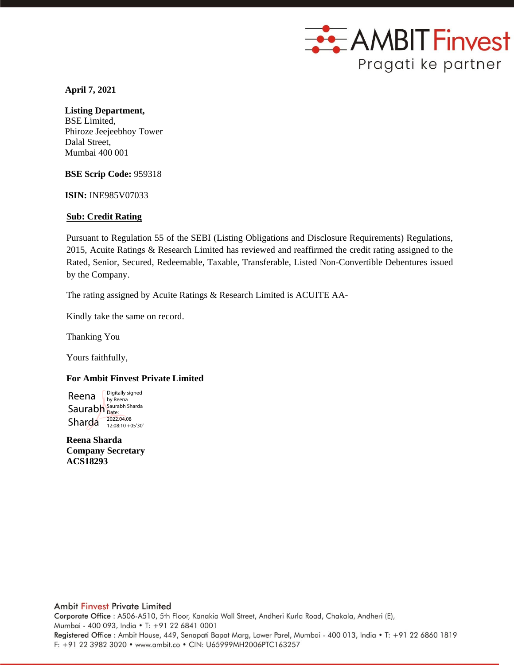

 **April 7, 2021**

# **Listing Department,**

BSE Limited, Phiroze Jeejeebhoy Tower Dalal Street, Mumbai 400 001

**BSE Scrip Code:** 959318

**ISIN:** INE985V07033

## **Sub: Credit Rating**

Pursuant to Regulation 55 of the SEBI (Listing Obligations and Disclosure Requirements) Regulations, 2015, Acuite Ratings & Research Limited has reviewed and reaffirmed the credit rating assigned to the Rated, Senior, Secured, Redeemable, Taxable, Transferable, Listed Non-Convertible Debentures issued by the Company.

The rating assigned by Acuite Ratings & Research Limited is ACUITE AA-

Kindly take the same on record.

Thanking You

Yours faithfully,

## **For Ambit Finvest Private Limited**

Reena Saurabh Saurabh Sharda Sharda 2022.04.08 Digitally signed by Reena

**Reena Sharda Company Secretary ACS18293**

Corporate Office : A506-A510, 5th Floor, Kanakia Wall Street, Andheri Kurla Road, Chakala, Andheri (E), Mumbai - 400 093, India • T: +91 22 6841 0001 Registered Office: Ambit House, 449, Senapati Bapat Marg, Lower Parel, Mumbai - 400 013, India . T: +91 22 6860 1819 F: +91 22 3982 3020 · www.ambit.co · CIN: U65999MH2006PTC163257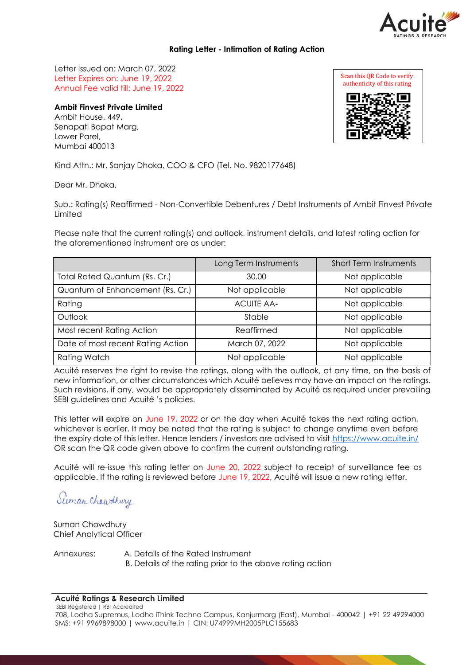

#### **Rating Letter - Intimation of Rating Action**

Letter Issued on: March 07, 2022 Letter Expires on: June 19, 2022 Annual Fee valid till: June 19, 2022

**Ambit Finvest Private Limited**

Ambit House, 449, Senapati Bapat Marg, Lower Parel, Mumbai 400013

Kind Attn.: Mr. Sanjay Dhoka, COO & CFO (Tel. No. 9820177648)

Dear Mr. Dhoka,

Sub.: Rating(s) Reaffirmed - Non-Convertible Debentures / Debt Instruments of Ambit Finvest Private **Limited** 

Please note that the current rating(s) and outlook, instrument details, and latest rating action for the aforementioned instrument are as under:

|                                   | Long Term Instruments | <b>Short Term Instruments</b> |
|-----------------------------------|-----------------------|-------------------------------|
| Total Rated Quantum (Rs. Cr.)     | 30.00                 | Not applicable                |
| Quantum of Enhancement (Rs. Cr.)  | Not applicable        | Not applicable                |
| Rating                            | <b>ACUITE AA-</b>     | Not applicable                |
| Outlook                           | Stable                | Not applicable                |
| Most recent Rating Action         | Reaffirmed            | Not applicable                |
| Date of most recent Rating Action | March 07, 2022        | Not applicable                |
| <b>Rating Watch</b>               | Not applicable        | Not applicable                |

Acuité reserves the right to revise the ratings, along with the outlook, at any time, on the basis of new information, or other circumstances which Acuité believes may have an impact on the ratings. Such revisions, if any, would be appropriately disseminated by Acuité as required under prevailing SEBI guidelines and Acuité 's policies.

This letter will expire on June 19, 2022 or on the day when Acuité takes the next rating action, whichever is earlier. It may be noted that the rating is subject to change anytime even before the expiry date of this letter. Hence lenders / investors are advised to visit [https://www.acuite.in/](http://www.acuite.in/) OR scan the QR code given above to confirm the current outstanding rating.

Acuité will re-issue this rating letter on June 20, 2022 subject to receipt of surveillance fee as applicable. If the rating is reviewed before June 19, 2022, Acuité will issue a new rating letter.

Suman Chawdhwy

Suman Chowdhury Chief Analytical Officer

Annexures: A. Details of the Rated Instrument B. Details of the rating prior to the above rating action

## **Acuité Ratings & Research Limited**

 SEBI Registered | RBI Accredited 708, Lodha Supremus, Lodha iThink Techno Campus, Kanjurmarg (East), Mumbai - 400042 | +91 22 49294000 SMS: +91 9969898000 | [www.acuite.in |](http://www.acuite.in/) CIN: U74999MH2005PLC155683